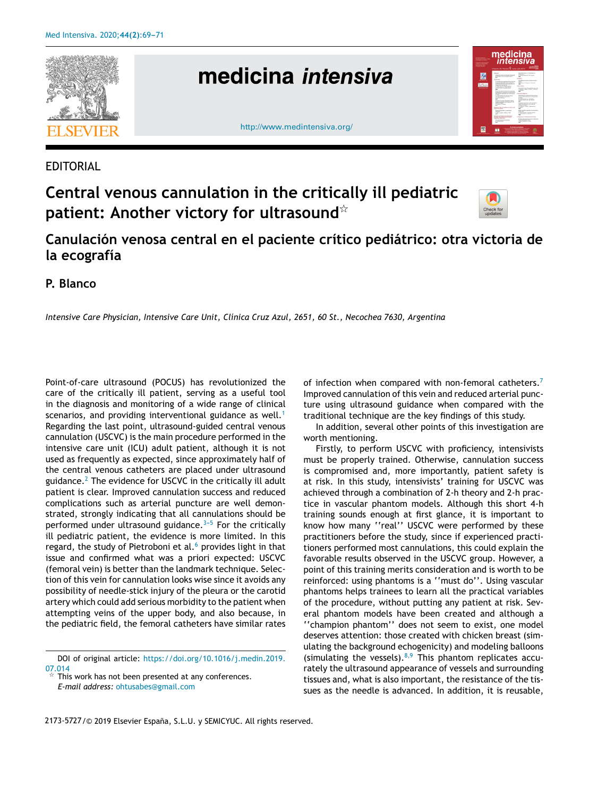

EDITORIAL

## **Central venous cannulation in the critically ill pediatric patient: Another victory for ultrasound**-



**Canulación venosa central en el paciente crítico pediátrico: otra victoria de la ecografía**

## **P. Blanco**

*Intensive Care Physician, Intensive Care Unit, Clínica Cruz Azul, 2651, 60 St., Necochea 7630, Argentina*

Point-of-care ultrasound (POCUS) has revolutionized the care of the critically ill patient, serving as a useful tool in the diagnosis and monitoring of a wide range of clinical scenarios, and providing interventional guidance as well.<sup>1</sup> Regarding the last point, ultrasound-guided central venous cannulation (USCVC) is the main procedure performed in the intensive care unit (ICU) adult patient, although it is not used as frequently as expected, since approximately half of the central venous catheters are placed under ultrasound guidance. $<sup>2</sup>$  The evidence for USCVC in the critically ill adult</sup> patient is clear. Improved cannulation success and reduced complications such as arterial puncture are well demonstrated, strongly indicating that all cannulations should be performed under ultrasound guidance. $3-5$  For the critically ill pediatric patient, the evidence is more limited. In this regard, the study of Pietroboni et al.<sup>6</sup> provides light in that issue and confirmed what was a priori expected: USCVC (femoral vein) is better than the landmark technique. Selection of this vein for cannulation looks wise since it avoids any possibility of needle-stick injury of the pleura or the carotid artery which could add serious morbidity to the patient when attempting veins of the upper body, and also because, in the pediatric field, the femoral catheters have similar rates

DOI of original article: https://doi.org/10.1016/j.medin.2019. 07.014  $\frac{1}{14}$ 

 This work has not been presented at any conferences. *E-mail address:* ohtusabes@gmail.com

of infection when compared with non-femoral catheters.<sup>7</sup> Improved cannulation of this vein and reduced arterial puncture using ultrasound guidance when compared with the traditional technique are the key findings of this study.

In addition, several other points of this investigation are worth mentioning.

Firstly, to perform USCVC with proficiency, intensivists must be properly trained. Otherwise, cannulation success is compromised and, more importantly, patient safety is at risk. In this study, intensivists' training for USCVC was achieved through a combination of 2-h theory and 2-h practice in vascular phantom models. Although this short 4-h training sounds enough at first glance, it is important to know how many ''real'' USCVC were performed by these practitioners before the study, since if experienced practitioners performed most cannulations, this could explain the favorable results observed in the USCVC group. However, a point of this training merits consideration and is worth to be reinforced: using phantoms is a ''must do''. Using vascular phantoms helps trainees to learn all the practical variables of the procedure, without putting any patient at risk. Several phantom models have been created and although a ''champion phantom'' does not seem to exist, one model deserves attention: those created with chicken breast (simulating the background echogenicity) and modeling balloons (simulating the vessels). $8,9$  This phantom replicates accurately the ultrasound appearance of vessels and surrounding tissues and, what is also important, the resistance of the tissues as the needle is advanced. In addition, it is reusable,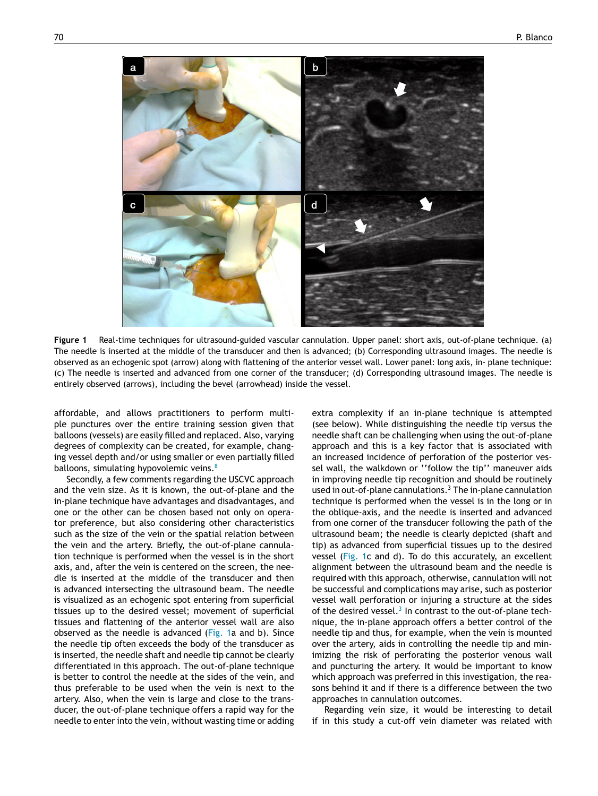

**Figure 1** Real-time techniques for ultrasound-guided vascular cannulation. Upper panel: short axis, out-of-plane technique. (a) The needle is inserted at the middle of the transducer and then is advanced; (b) Corresponding ultrasound images. The needle is observed as an echogenic spot (arrow) along with flattening of the anterior vessel wall. Lower panel: long axis, in- plane technique: (c) The needle is inserted and advanced from one corner of the transducer; (d) Corresponding ultrasound images. The needle is entirely observed (arrows), including the bevel (arrowhead) inside the vessel.

affordable, and allows practitioners to perform multiple punctures over the entire training session given that balloons (vessels) are easily filled and replaced. Also, varying degrees of complexity can be created, for example, changing vessel depth and/or using smaller or even partially filled balloons, simulating hypovolemic veins.<sup>8</sup>

Secondly, a few comments regarding the USCVC approach and the vein size. As it is known, the out-of-plane and the in-plane technique have advantages and disadvantages, and one or the other can be chosen based not only on operator preference, but also considering other characteristics such as the size of the vein or the spatial relation between the vein and the artery. Briefly, the out-of-plane cannulation technique is performed when the vessel is in the short axis, and, after the vein is centered on the screen, the needle is inserted at the middle of the transducer and then is advanced intersecting the ultrasound beam. The needle is visualized as an echogenic spot entering from superficial tissues up to the desired vessel; movement of superficial tissues and flattening of the anterior vessel wall are also observed as the needle is advanced (Fig. 1a and b). Since the needle tip often exceeds the body of the transducer as is inserted, the needle shaft and needle tip cannot be clearly differentiated in this approach. The out-of-plane technique is better to control the needle at the sides of the vein, and thus preferable to be used when the vein is next to the artery. Also, when the vein is large and close to the transducer, the out-of-plane technique offers a rapid way for the needle to enter into the vein, without wasting time or adding

extra complexity if an in-plane technique is attempted (see below). While distinguishing the needle tip versus the needle shaft can be challenging when using the out-of-plane approach and this is a key factor that is associated with an increased incidence of perforation of the posterior vessel wall, the walkdown or ''follow the tip'' maneuver aids in improving needle tip recognition and should be routinely used in out-of-plane cannulations.<sup>3</sup> The in-plane cannulation technique is performed when the vessel is in the long or in the oblique-axis, and the needle is inserted and advanced from one corner of the transducer following the path of the ultrasound beam; the needle is clearly depicted (shaft and tip) as advanced from superficial tissues up to the desired vessel (Fig. 1c and d). To do this accurately, an excellent alignment between the ultrasound beam and the needle is required with this approach, otherwise, cannulation will not be successful and complications may arise, such as posterior vessel wall perforation or injuring a structure at the sides of the desired vessel. $3$  In contrast to the out-of-plane technique, the in-plane approach offers a better control of the needle tip and thus, for example, when the vein is mounted over the artery, aids in controlling the needle tip and minimizing the risk of perforating the posterior venous wall and puncturing the artery. It would be important to know which approach was preferred in this investigation, the reasons behind it and if there is a difference between the two approaches in cannulation outcomes.

Regarding vein size, it would be interesting to detail if in this study a cut-off vein diameter was related with